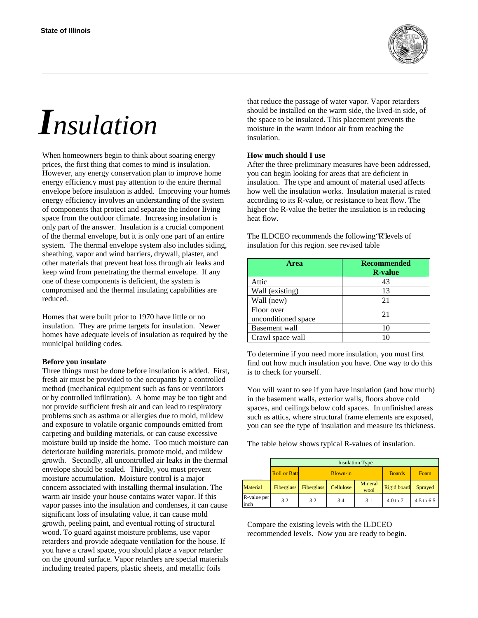

# *Insulation*

When homeowners begin to think about soaring energy prices, the first thing that comes to mind is insulation. However, any energy conservation plan to improve home energy efficiency must pay attention to the entire thermal envelope before insulation is added. Improving your home's energy efficiency involves an understanding of the system of components that protect and separate the indoor living space from the outdoor climate. Increasing insulation is only part of the answer. Insulation is a crucial component of the thermal envelope, but it is only one part of an entire system. The thermal envelope system also includes siding, sheathing, vapor and wind barriers, drywall, plaster, and other materials that prevent heat loss through air leaks and keep wind from penetrating the thermal envelope. If any one of these components is deficient, the system is compromised and the thermal insulating capabilities are reduced.

Homes that were built prior to 1970 have little or no insulation. They are prime targets for insulation. Newer homes have adequate levels of insulation as required by the municipal building codes.

#### **Before you insulate**

Three things must be done before insulation is added. First, fresh air must be provided to the occupants by a controlled method (mechanical equipment such as fans or ventilators or by controlled infiltration). A home may be too tight and not provide sufficient fresh air and can lead to respiratory problems such as asthma or allergies due to mold, mildew and exposure to volatile organic compounds emitted from carpeting and building materials, or can cause excessive moisture build up inside the home. Too much moisture can deteriorate building materials, promote mold, and mildew growth. Secondly, all uncontrolled air leaks in the thermal envelope should be sealed. Thirdly, you must prevent moisture accumulation. Moisture control is a major concern associated with installing thermal insulation. The warm air inside your house contains water vapor. If this vapor passes into the insulation and condenses, it can cause significant loss of insulating value, it can cause mold growth, peeling paint, and eventual rotting of structural wood. To guard against moisture problems, use vapor retarders and provide adequate ventilation for the house. If you have a crawl space, you should place a vapor retarder on the ground surface. Vapor retarders are special materials including treated papers, plastic sheets, and metallic foils

that reduce the passage of water vapor. Vapor retarders should be installed on the warm side, the lived-in side, of the space to be insulated. This placement prevents the moisture in the warm indoor air from reaching the insulation.

#### **How much should I use**

After the three preliminary measures have been addressed, you can begin looking for areas that are deficient in insulation. The type and amount of material used affects how well the insulation works. Insulation material is rated according to its R-value, or resistance to heat flow. The higher the R-value the better the insulation is in reducing heat flow.

The ILDCEO recommends the following 'R' levels of insulation for this region. see revised table

| Area                              | <b>Recommended</b><br><b>R</b> -value |  |  |
|-----------------------------------|---------------------------------------|--|--|
| Attic                             | 43                                    |  |  |
| Wall (existing)                   | 13                                    |  |  |
| Wall (new)                        | 21                                    |  |  |
| Floor over<br>unconditioned space | 21                                    |  |  |
| Basement wall                     |                                       |  |  |
| Crawl space wall                  |                                       |  |  |

To determine if you need more insulation, you must first find out how much insulation you have. One way to do this is to check for yourself.

You will want to see if you have insulation (and how much) in the basement walls, exterior walls, floors above cold spaces, and ceilings below cold spaces. In unfinished areas such as attics, where structural frame elements are exposed, you can see the type of insulation and measure its thickness.

The table below shows typical R-values of insulation.

|                      | <b>Insulation Type</b> |                 |           |                 |               |            |  |
|----------------------|------------------------|-----------------|-----------|-----------------|---------------|------------|--|
|                      | <b>Roll or Batt</b>    | <b>Blown-in</b> |           |                 | <b>Boards</b> | Foam       |  |
| Material             | Fiberglass             | Fiberglass      | Cellulose | Mineral<br>wool | Rigid board   | Sprayed    |  |
| R-value per<br>linch | 3.2                    | 3.2             | 3.4       | 3.1             | 4.0 to 7      | 4.5 to 6.5 |  |

Compare the existing levels with the ILDCEO recommended levels. Now you are ready to begin.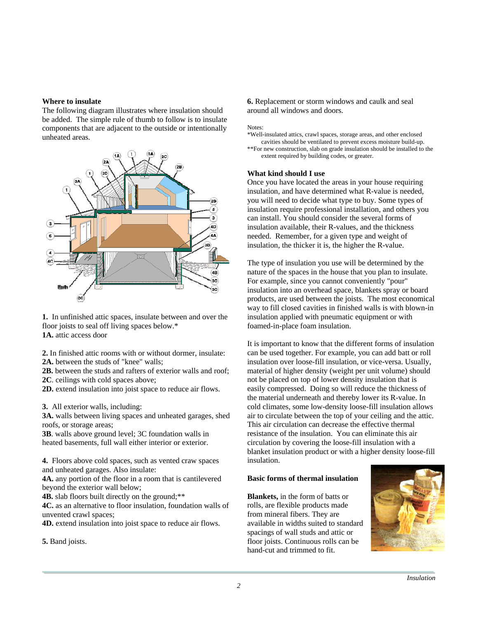#### **Where to insulate**

The following diagram illustrates where insulation should be added. The simple rule of thumb to follow is to insulate components that are adjacent to the outside or intentionally unheated areas.



**1.** In unfinished attic spaces, insulate between and over the floor joists to seal off living spaces below.\* **1A.** attic access door

**2.** In finished attic rooms with or without dormer, insulate: **2A.** between the studs of "knee" walls;

**2B.** between the studs and rafters of exterior walls and roof;

**2C**. ceilings with cold spaces above;

**2D.** extend insulation into joist space to reduce air flows.

**3.** All exterior walls, including:

**3A.** walls between living spaces and unheated garages, shed roofs, or storage areas;

**3B**. walls above ground level; 3C foundation walls in heated basements, full wall either interior or exterior.

**4.** Floors above cold spaces, such as vented craw spaces and unheated garages. Also insulate:

**4A.** any portion of the floor in a room that is cantilevered beyond the exterior wall below;

**4B.** slab floors built directly on the ground;\*\*

**4C.** as an alternative to floor insulation, foundation walls of unvented crawl spaces;

**4D.** extend insulation into joist space to reduce air flows.

**5.** Band joists.

**6.** Replacement or storm windows and caulk and seal around all windows and doors.

Notes:

\*Well-insulated attics, crawl spaces, storage areas, and other enclosed cavities should be ventilated to prevent excess moisture build-up. \*\*For new construction, slab on grade insulation should be installed to the extent required by building codes, or greater.

#### **What kind should I use**

Once you have located the areas in your house requiring insulation, and have determined what R-value is needed, you will need to decide what type to buy. Some types of insulation require professional installation, and others you can install. You should consider the several forms of insulation available, their R-values, and the thickness needed. Remember, for a given type and weight of insulation, the thicker it is, the higher the R-value.

The type of insulation you use will be determined by the nature of the spaces in the house that you plan to insulate. For example, since you cannot conveniently "pour" insulation into an overhead space, blankets spray or board products, are used between the joists. The most economical way to fill closed cavities in finished walls is with blown-in insulation applied with pneumatic equipment or with foamed-in-place foam insulation.

It is important to know that the different forms of insulation can be used together. For example, you can add batt or roll insulation over loose-fill insulation, or vice-versa. Usually, material of higher density (weight per unit volume) should not be placed on top of lower density insulation that is easily compressed. Doing so will reduce the thickness of the material underneath and thereby lower its R-value. In cold climates, some low-density loose-fill insulation allows air to circulate between the top of your ceiling and the attic. This air circulation can decrease the effective thermal resistance of the insulation. You can eliminate this air circulation by covering the loose-fill insulation with a blanket insulation product or with a higher density loose-fill insulation.

#### **Basic forms of thermal insulation**

**Blankets,** in the form of batts or rolls, are flexible products made from mineral fibers. They are available in widths suited to standard spacings of wall studs and attic or floor joists. Continuous rolls can be hand-cut and trimmed to fit.

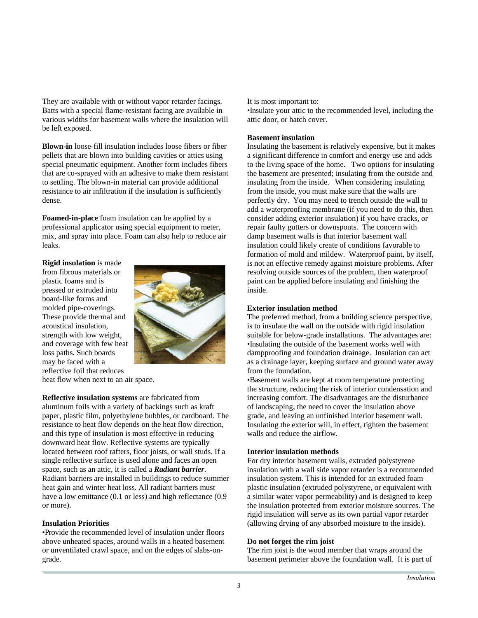They are available with or without vapor retarder facings. Batts with a special flame-resistant facing are available in various widths for basement walls where the insulation will be left exposed.

**Blown-in** loose-fill insulation includes loose fibers or fiber pellets that are blown into building cavities or attics using special pneumatic equipment. Another form includes fibers that are co-sprayed with an adhesive to make them resistant to settling. The blown-in material can provide additional resistance to air infiltration if the insulation is sufficiently dense.

**Foamed-in-place** foam insulation can be applied by a professional applicator using special equipment to meter, mix, and spray into place. Foam can also help to reduce air leaks.

**Rigid insulation** is made from fibrous materials or plastic foams and is pressed or extruded into board-like forms and molded pipe-coverings. These provide thermal and acoustical insulation, strength with low weight, and coverage with few heat loss paths. Such boards may be faced with a reflective foil that reduces



heat flow when next to an air space.

**Reflective insulation systems** are fabricated from aluminum foils with a variety of backings such as kraft paper, plastic film, polyethylene bubbles, or cardboard. The resistance to heat flow depends on the heat flow direction, and this type of insulation is most effective in reducing downward heat flow. Reflective systems are typically located between roof rafters, floor joists, or wall studs. If a single reflective surface is used alone and faces an open space, such as an attic, it is called a *Radiant barrier*. Radiant barriers are installed in buildings to reduce summer heat gain and winter heat loss. All radiant barriers must have a low emittance (0.1 or less) and high reflectance (0.9 or more).

## **Insulation Priorities**

• Provide the recommended level of insulation under floors above unheated spaces, around walls in a heated basement or unventilated crawl space, and on the edges of slabs-ongrade.

It is most important to:

• Insulate your attic to the recommended level, including the attic door, or hatch cover.

#### **Basement insulation**

Insulating the basement is relatively expensive, but it makes a significant difference in comfort and energy use and adds to the living space of the home. Two options for insulating the basement are presented; insulating from the outside and insulating from the inside. When considering insulating from the inside, you must make sure that the walls are perfectly dry. You may need to trench outside the wall to add a waterproofing membrane (if you need to do this, then consider adding exterior insulation) if you have cracks, or repair faulty gutters or downspouts. The concern with damp basement walls is that interior basement wall insulation could likely create of conditions favorable to formation of mold and mildew. Waterproof paint, by itself, is not an effective remedy against moisture problems. After resolving outside sources of the problem, then waterproof paint can be applied before insulating and finishing the inside.

#### **Exterior insulation method**

The preferred method, from a building science perspective, is to insulate the wall on the outside with rigid insulation suitable for below-grade installations. The advantages are: • Insulating the outside of the basement works well with dampproofing and foundation drainage. Insulation can act as a drainage layer, keeping surface and ground water away from the foundation.

• Basement walls are kept at room temperature protecting the structure, reducing the risk of interior condensation and increasing comfort. The disadvantages are the disturbance of landscaping, the need to cover the insulation above grade, and leaving an unfinished interior basement wall. Insulating the exterior will, in effect, tighten the basement walls and reduce the airflow.

## **Interior insulation methods**

For dry interior basement walls, extruded polystyrene insulation with a wall side vapor retarder is a recommended insulation system. This is intended for an extruded foam plastic insulation (extruded polystyrene, or equivalent with a similar water vapor permeability) and is designed to keep the insulation protected from exterior moisture sources. The rigid insulation will serve as its own partial vapor retarder (allowing drying of any absorbed moisture to the inside).

## **Do not forget the rim joist**

The rim joist is the wood member that wraps around the basement perimeter above the foundation wall. It is part of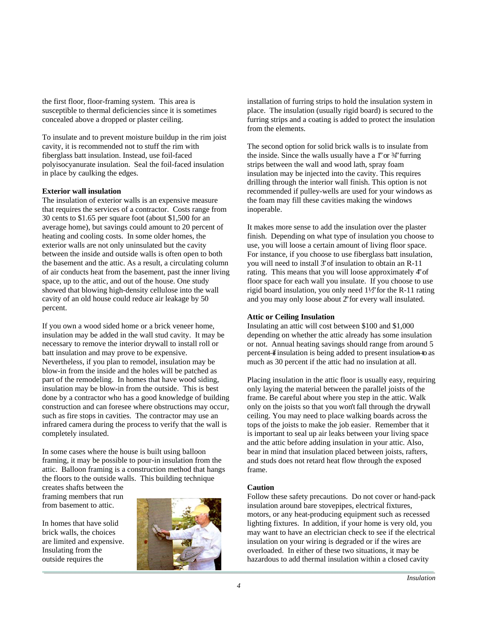the first floor, floor-framing system. This area is susceptible to thermal deficiencies since it is sometimes concealed above a dropped or plaster ceiling.

To insulate and to prevent moisture buildup in the rim joist cavity, it is recommended not to stuff the rim with fiberglass batt insulation. Instead, use foil-faced polyisocyanurate insulation. Seal the foil-faced insulation in place by caulking the edges.

## **Exterior wall insulation**

The insulation of exterior walls is an expensive measure that requires the services of a contractor. Costs range from 30 cents to \$1.65 per square foot (about \$1,500 for an average home), but savings could amount to 20 percent of heating and cooling costs. In some older homes, the exterior walls are not only uninsulated but the cavity between the inside and outside walls is often open to both the basement and the attic. As a result, a circulating column of air conducts heat from the basement, past the inner living space, up to the attic, and out of the house. One study showed that blowing high-density cellulose into the wall cavity of an old house could reduce air leakage by 50 percent.

If you own a wood sided home or a brick veneer home, insulation may be added in the wall stud cavity. It may be necessary to remove the interior drywall to install roll or batt insulation and may prove to be expensive. Nevertheless, if you plan to remodel, insulation may be blow-in from the inside and the holes will be patched as part of the remodeling. In homes that have wood siding, insulation may be blow-in from the outside. This is best done by a contractor who has a good knowledge of building construction and can foresee where obstructions may occur, such as fire stops in cavities. The contractor may use an infrared camera during the process to verify that the wall is completely insulated.

In some cases where the house is built using balloon framing, it may be possible to pour-in insulation from the attic. Balloon framing is a construction method that hangs the floors to the outside walls. This building technique

creates shafts between the framing members that run from basement to attic.

In homes that have solid brick walls, the choices are limited and expensive. Insulating from the outside requires the



installation of furring strips to hold the insulation system in place. The insulation (usually rigid board) is secured to the furring strips and a coating is added to protect the insulation from the elements.

The second option for solid brick walls is to insulate from the inside. Since the walls usually have a f'or  $\frac{3}{4}$  furring strips between the wall and wood lath, spray foam insulation may be injected into the cavity. This requires drilling through the interior wall finish. This option is not recommended if pulley-wells are used for your windows as the foam may fill these cavities making the windows inoperable.

It makes more sense to add the insulation over the plaster finish. Depending on what type of insulation you choose to use, you will loose a certain amount of living floor space. For instance, if you choose to use fiberglass batt insulation, you will need to install 3' of insulation to obtain an R-11 rating. This means that you will loose approximately 4" of floor space for each wall you insulate. If you choose to use rigid board insulation, you only need 1½" for the R-11 rating and you may only loose about 2" for every wall insulated.

## **Attic or Ceiling Insulation**

Insulating an attic will cost between \$100 and \$1,000 depending on whether the attic already has some insulation or not. Annual heating savings should range from around 5 percent—if insulation is being added to present insulation—to as much as 30 percent if the attic had no insulation at all.

Placing insulation in the attic floor is usually easy, requiring only laying the material between the parallel joists of the frame. Be careful about where you step in the attic. Walk only on the joists so that you won't fall through the drywall ceiling. You may need to place walking boards across the tops of the joists to make the job easier. Remember that it is important to seal up air leaks between your living space and the attic before adding insulation in your attic. Also, bear in mind that insulation placed between joists, rafters, and studs does not retard heat flow through the exposed frame.

## **Caution**

Follow these safety precautions. Do not cover or hand-pack insulation around bare stovepipes, electrical fixtures, motors, or any heat-producing equipment such as recessed lighting fixtures. In addition, if your home is very old, you may want to have an electrician check to see if the electrical insulation on your wiring is degraded or if the wires are overloaded. In either of these two situations, it may be hazardous to add thermal insulation within a closed cavity